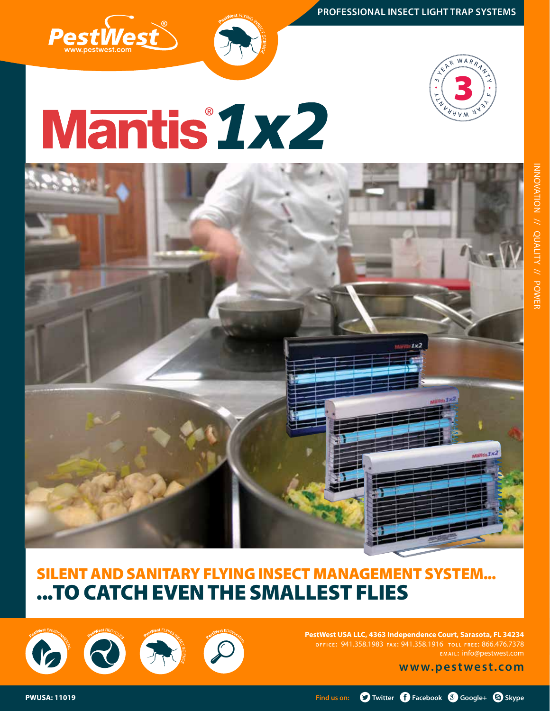



# **Mantis 1x2**



#### Silent and sanitary Flying Insect management system... ...to catch even the smallest flies

**PestWest USA LLC, 4363 Independence Court, Sarasota, FL 34234 o f f i c e :** 941.358.1983 **fa x:** 941.358.1916 **t o l l f r e e :** 866.476.7378 **e m a i l :** info@pestwest.com

**www.pestwest.com**

6 8 8 F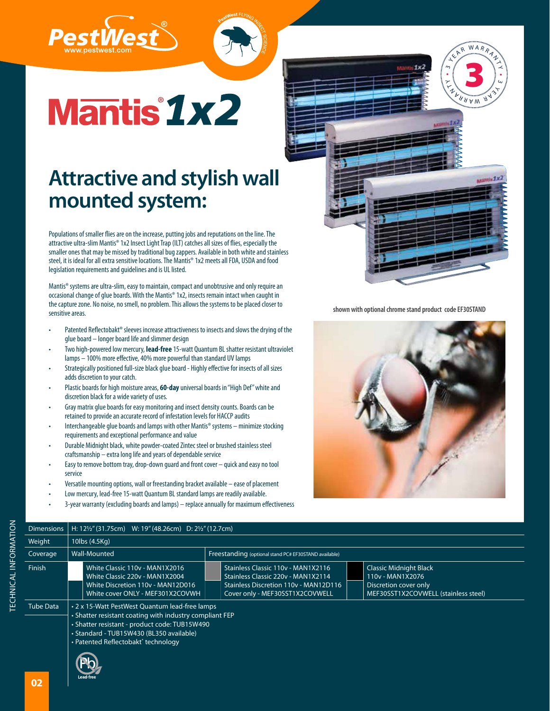



## **Mantis 1x2**

#### **Attractive and stylish wall mounted system:**

Populations of smaller flies are on the increase, putting jobs and reputations on the line. The attractive ultra-slim Mantis® 1x2 Insect Light Trap (ILT) catches all sizes of flies, especially the smaller ones that may be missed by traditional bug zappers. Available in both white and stainless steel, it is ideal for all extra sensitive locations. The Mantis® 1x2 meets all FDA, USDA and food legislation requirements and guidelines and is UL listed.

Mantis® systems are ultra-slim, easy to maintain, compact and unobtrusive and only require an occasional change of glue boards. With the Mantis® 1x2, insects remain intact when caught in the capture zone. No noise, no smell, no problem. This allows the systems to be placed closer to sensitive areas.

- Patented Reflectobakt® sleeves increase attractiveness to insects and slows the drying of the glue board – longer board life and slimmer design
- Two high-powered low mercury, lead-free 15-watt Quantum BL shatter resistant ultraviolet lamps – 100% more effective, 40% more powerful than standard UV lamps
- Strategically positioned full-size black glue board Highly effective for insects of all sizes adds discretion to your catch.
- Plastic boards for high moisture areas, 60-day universal boards in "High Def" white and discretion black for a wide variety of uses.
- Gray matrix glue boards for easy monitoring and insect density counts. Boards can be retained to provide an accurate record of infestation levels for HACCP audits
- Interchangeable glue boards and lamps with other Mantis® systems minimize stocking requirements and exceptional performance and value
- Durable Midnight black, white powder-coated Zintec steel or brushed stainless steel craftsmanship – extra long life and years of dependable service
- Easy to remove bottom tray, drop-down guard and front cover quick and easy no tool service
- Versatile mounting options, wall or freestanding bracket available ease of placement
- Low mercury, lead-free 15-watt Quantum BL standard lamps are readily available.
- 3-year warranty (excluding boards and lamps) replace annually for maximum effectiveness



•

 $\mathcal{L}_{\mathcal{L}}$  $\overline{\phantom{1}}$ 

SEAR WARRANT

3

 $A$ A A W

 $\prec$ •  $\omega$ **HARY** 

**shown with optional chrome stand product code EF30STAND**



| Weight           | 10lbs (4.5Kg)                                                                                                                                                                                          |                                                                                                                                                                                                                                    |                                      |  |  |  |  |
|------------------|--------------------------------------------------------------------------------------------------------------------------------------------------------------------------------------------------------|------------------------------------------------------------------------------------------------------------------------------------------------------------------------------------------------------------------------------------|--------------------------------------|--|--|--|--|
| Coverage         | Wall-Mounted                                                                                                                                                                                           | Freestanding (optional stand PC# EF30STAND available)                                                                                                                                                                              |                                      |  |  |  |  |
| Finish           | White Classic 110v - MAN1X2016<br>White Classic 220v - MAN1X2004<br>White Discretion 110v - MAN12D016<br>White cover ONLY - MEF301X2COVWH                                                              | Stainless Classic 110v - MAN1X2116<br><b>Classic Midnight Black</b><br>Stainless Classic 220v - MAN1X2114<br>110v - MAN1X2076<br>Stainless Discretion 110v - MAN12D116<br>Discretion cover only<br>Cover only - MEF30SST1X2COVWELL | MEF30SST1X2COVWELL (stainless steel) |  |  |  |  |
| <b>Tube Data</b> | • 2 x 15-Watt PestWest Quantum lead-free lamps<br>• Shatter resistant coating with industry compliant FEP<br>• Shatter resistant - product code: TUB15W490<br>• Standard - TUB15W430 (BL350 available) |                                                                                                                                                                                                                                    |                                      |  |  |  |  |

• Patented Reflectobakt® technology

Dimensions H: 12½" (31.75cm) W: 19" (48.26cm) D: 2½" (12.7cm)



TECHNIC

AL INFORM **TECHNICAL INFORMATION**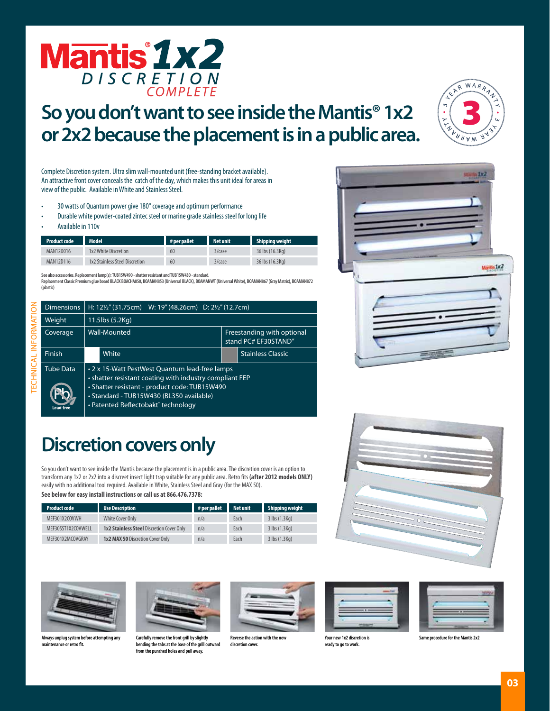

#### **So you don't want to see inside the Mantis® 1x2 or 2x2 because the placement is in a public area.**



Complete Discretion system. Ultra slim wall-mounted unit (free-standing bracket available). An attractive front cover conceals the catch of the day, which makes this unit ideal for areas in view of the public. Available in White and Stainless Steel.

- 30 watts of Quantum power give 180° coverage and optimum performance
- Durable white powder-coated zintec steel or marine grade stainless steel for long life
- Available in 110v

| <b>Product code</b> | Model <sup>1</sup>             | # per pallet | <b>Net unit</b> | Shipping weight |
|---------------------|--------------------------------|--------------|-----------------|-----------------|
| MAN12D016           | 1x2 White Discretion           | 60           | 3/case          | 36 lbs (16.3Kg) |
| MAN12D116           | 1x2 Stainless Steel Discretion | 60           | 3/case          | 36 lbs (16.3Kg) |

**See also accessories. Replacement lamp(s): TUB15W490 - shatter resistant and TUB15W430 - standard.**

**Replacement Classic Premium glue board BLACK BOACHA850, BOAMAN853 (Universal BLACK), BOAMANWT (Universal White), BOAMAN867 (Gray Matrix), BOAMAN872 (plastic)**

|                                            | <b>Dimensions</b> | H: $12\frac{1}{2}$ " (31.75cm) W: 19" (48.26cm) D: $2\frac{1}{2}$ " (12.7cm) |                                                                                                                                                                                                                                               |  |                                                    |  |
|--------------------------------------------|-------------------|------------------------------------------------------------------------------|-----------------------------------------------------------------------------------------------------------------------------------------------------------------------------------------------------------------------------------------------|--|----------------------------------------------------|--|
| RM<br>Ě<br>$rac{1}{\overline{2}}$<br>TECHI | <b>Weight</b>     | 11.5lbs (5.2Kg)                                                              |                                                                                                                                                                                                                                               |  |                                                    |  |
|                                            | Coverage          | Wall-Mounted                                                                 |                                                                                                                                                                                                                                               |  | Freestanding with optional<br>stand PC# EF30STAND" |  |
|                                            | <b>Finish</b>     |                                                                              | White                                                                                                                                                                                                                                         |  | <b>Stainless Classic</b>                           |  |
|                                            | Tube Data         |                                                                              | • 2 x 15-Watt PestWest Quantum lead-free lamps<br>• shatter resistant coating with industry compliant FEP<br>• Shatter resistant - product code: TUB15W490<br>· Standard - TUB15W430 (BL350 available)<br>• Patented Reflectobakt® technology |  |                                                    |  |
|                                            | <b>Lead free</b>  |                                                                              |                                                                                                                                                                                                                                               |  |                                                    |  |

#### **Discretion covers only**

So you don't want to see inside the Mantis because the placement is in a public area. The discretion cover is an option to transform any 1x2 or 2x2 into a discreet insect light trap suitable for any public area. Retro fits (after 2012 models ONLY) easily with no additional tool required. Available in White, Stainless Steel and Gray (for the MAX 50). **See below for easy install instructions or call us at 866.476.7378:**

| <u>JEE DEIUW IUI EUJY IIIJUUI IIIJUULIUIIJ UI CUII UJ UL OUU. T/ U.I J/ U.</u> |                                                  |                                   |      |                    |
|--------------------------------------------------------------------------------|--------------------------------------------------|-----------------------------------|------|--------------------|
| <b>Product code</b>                                                            | <b>Use Description</b>                           | $\parallel$ # per pallet Net unit |      | Shipping wei       |
| MEF301X2COVWH                                                                  | White Cover Only                                 | n/a                               | Each | 3 lbs (1.3 Kg)     |
| MEE30SST1Y2COVWELL                                                             | <b>1v7 Stainless Steel Discretion Cover Only</b> | n/a                               | Each | $3$ lhc (1 $3$ Kn) |

| <b>Product code</b> | <b>Use Description</b>                           | $#$ per pallet | Net unit | Shipping weight       |
|---------------------|--------------------------------------------------|----------------|----------|-----------------------|
| MEF301X2COVWH       | <b>White Cover Only</b>                          | n/a            | Each     | $3$ lbs $(1.3$ Kg)    |
| MEF30SST1X2COVWELL  | <b>1x2 Stainless Steel Discretion Cover Only</b> | n/a            | Each     | $3$ lbs $(1.3$ Kg)    |
| MEF301X2MCOVGRAY    | <b>1x2 MAX 50 Discretion Cover Only</b>          | n/a            | Each     | $3$ lbs $(1.3$ Kg $)$ |







**Always unplug system before attempting any nce or retro fit.** 



**Carefully remove the front grill by slightly**  bending the tabs at the base of the grill out **from the punched holes and pull away.** 



**discretion cover.** 

**Reverse the action with the new** 



**Your new 1x2 discretion is ready to go to work.** 

**Same procedure for the Mantis 2x2**